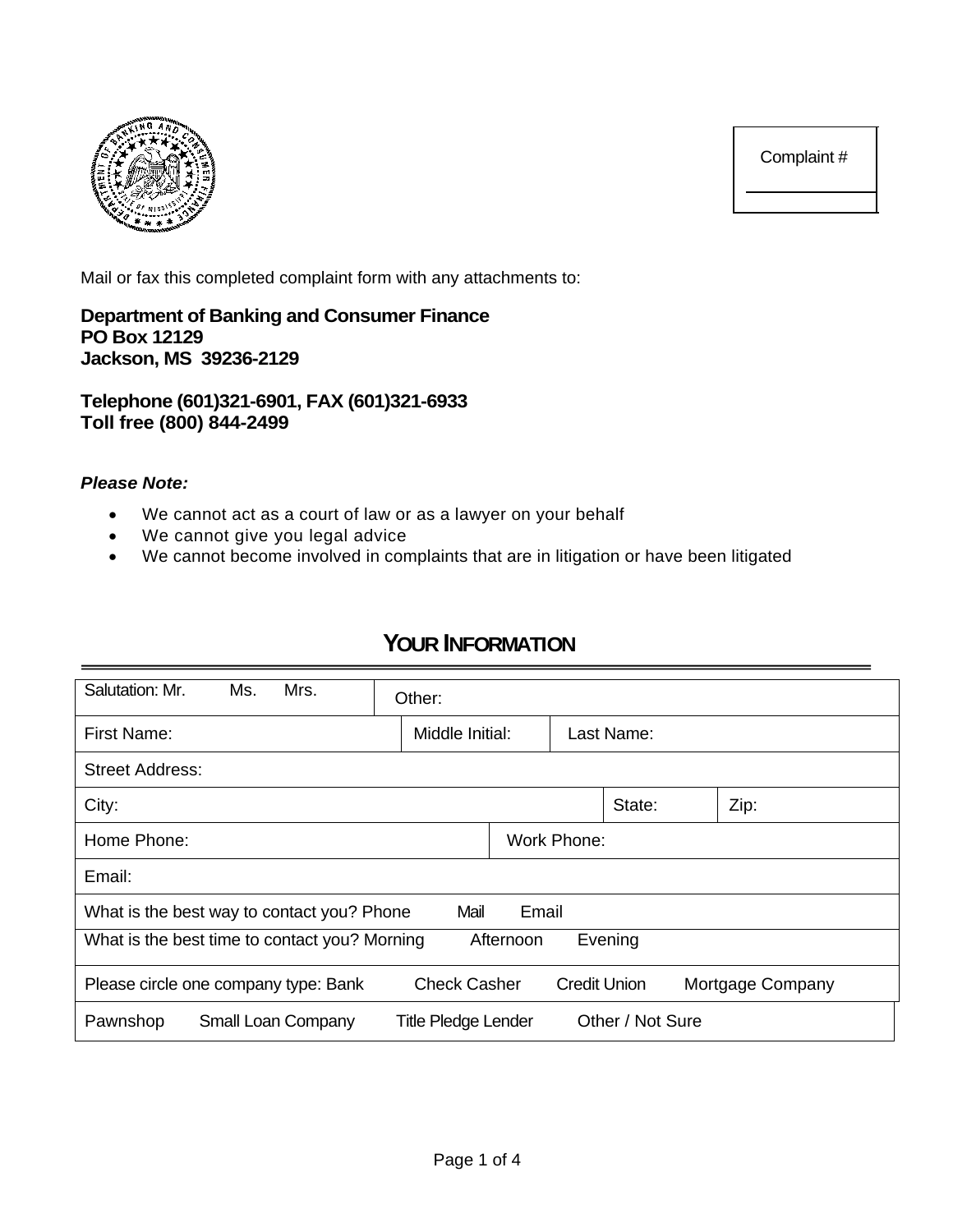Complaint #

 $\overline{\phantom{a}}$ 



Mail or fax this completed complaint form with any attachments to:

**Department of Banking and Consumer Finance PO Box 12129 Jackson, MS 39236-2129** 

**Telephone (601)321-6901, FAX (601)321-6933 Toll free (800) 844-2499** 

#### *Please Note:*

- We cannot act as a court of law or as a lawyer on your behalf
- We cannot give you legal advice
- We cannot become involved in complaints that are in litigation or have been litigated

### **YOUR INFORMATION**

| Salutation: Mr.<br>Ms.<br>Mrs.                                                   | Other: |                 |                     |            |      |                  |  |  |
|----------------------------------------------------------------------------------|--------|-----------------|---------------------|------------|------|------------------|--|--|
| <b>First Name:</b>                                                               |        | Middle Initial: |                     | Last Name: |      |                  |  |  |
| <b>Street Address:</b>                                                           |        |                 |                     |            |      |                  |  |  |
| City:                                                                            |        |                 |                     | State:     | Zip: |                  |  |  |
| Home Phone:                                                                      |        |                 | Work Phone:         |            |      |                  |  |  |
| Email:                                                                           |        |                 |                     |            |      |                  |  |  |
| Email<br>What is the best way to contact you? Phone<br>Mail                      |        |                 |                     |            |      |                  |  |  |
| Evening<br>What is the best time to contact you? Morning<br>Afternoon            |        |                 |                     |            |      |                  |  |  |
| <b>Check Casher</b><br>Please circle one company type: Bank                      |        |                 | <b>Credit Union</b> |            |      | Mortgage Company |  |  |
| Other / Not Sure<br>Pawnshop<br>Small Loan Company<br><b>Title Pledge Lender</b> |        |                 |                     |            |      |                  |  |  |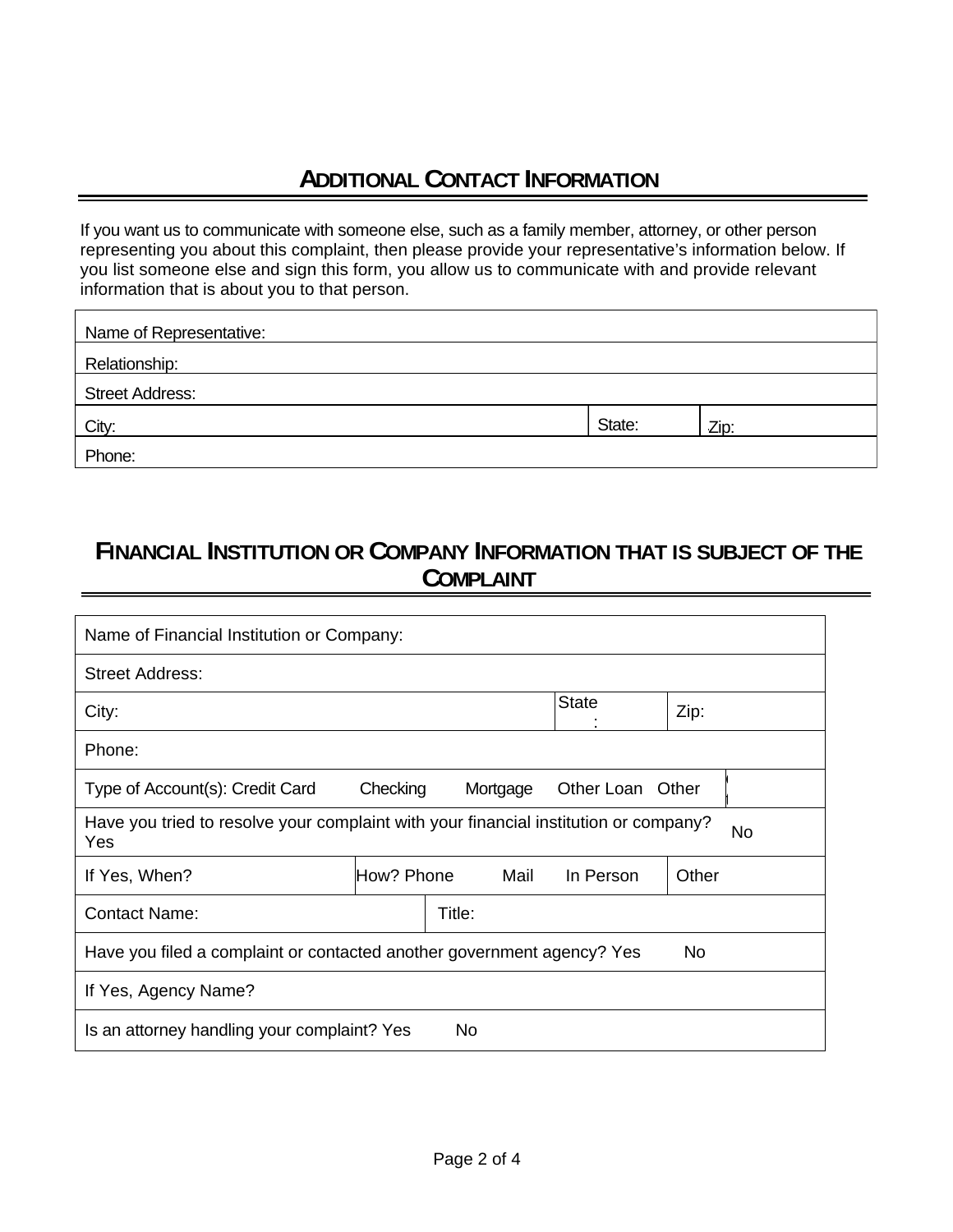# **ADDITIONAL CONTACT INFORMATION**

If you want us to communicate with someone else, such as a family member, attorney, or other person representing you about this complaint, then please provide your representative's information below. If you list someone else and sign this form, you allow us to communicate with and provide relevant information that is about you to that person.

| Name of Representative: |        |      |
|-------------------------|--------|------|
| Relationship:           |        |      |
| <b>Street Address:</b>  |        |      |
| City:                   | State: | Zip: |
| Phone:                  |        |      |

# **FINANCIAL INSTITUTION OR COMPANY INFORMATION THAT IS SUBJECT OF THE COMPLAINT**

| Name of Financial Institution or Company:                                                         |            |        |              |            |       |  |  |
|---------------------------------------------------------------------------------------------------|------------|--------|--------------|------------|-------|--|--|
| <b>Street Address:</b>                                                                            |            |        |              |            |       |  |  |
| City:                                                                                             |            |        | <b>State</b> | Zip:       |       |  |  |
| Phone:                                                                                            |            |        |              |            |       |  |  |
| Type of Account(s): Credit Card                                                                   | Checking   |        | Mortgage     | Other Loan | Other |  |  |
| Have you tried to resolve your complaint with your financial institution or company?<br>No<br>Yes |            |        |              |            |       |  |  |
| If Yes, When?                                                                                     | How? Phone |        | Mail         | In Person  | Other |  |  |
| <b>Contact Name:</b>                                                                              |            | Title: |              |            |       |  |  |
| Have you filed a complaint or contacted another government agency? Yes<br>N <sub>o</sub>          |            |        |              |            |       |  |  |
| If Yes, Agency Name?                                                                              |            |        |              |            |       |  |  |
| Is an attorney handling your complaint? Yes<br>No.                                                |            |        |              |            |       |  |  |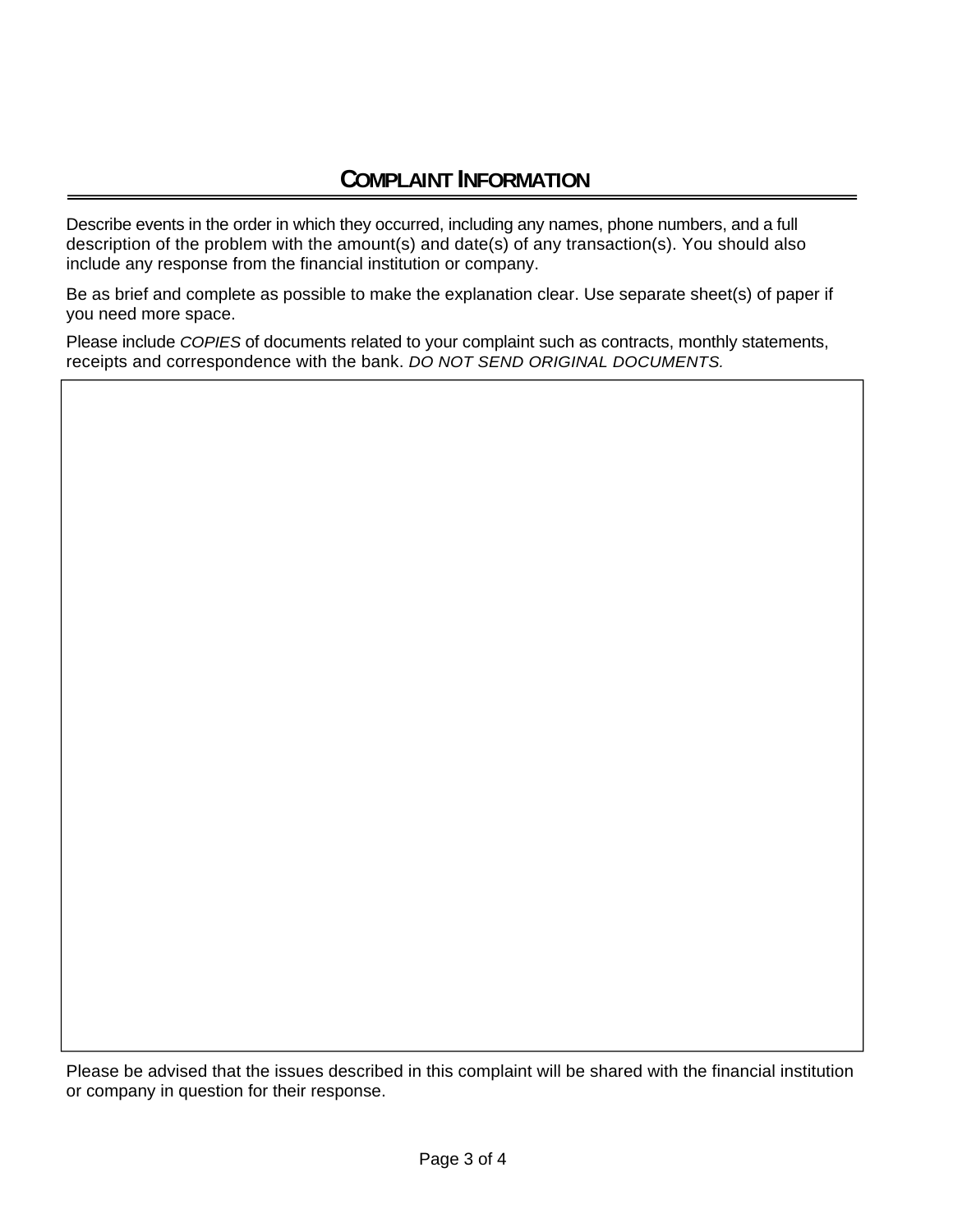Describe events in the order in which they occurred, including any names, phone numbers, and a full description of the problem with the amount(s) and date(s) of any transaction(s). You should also include any response from the financial institution or company.

Be as brief and complete as possible to make the explanation clear. Use separate sheet(s) of paper if you need more space.

Please include *COPIES* of documents related to your complaint such as contracts, monthly statements, receipts and correspondence with the bank. *DO NOT SEND ORIGINAL DOCUMENTS.*

Please be advised that the issues described in this complaint will be shared with the financial institution or company in question for their response.